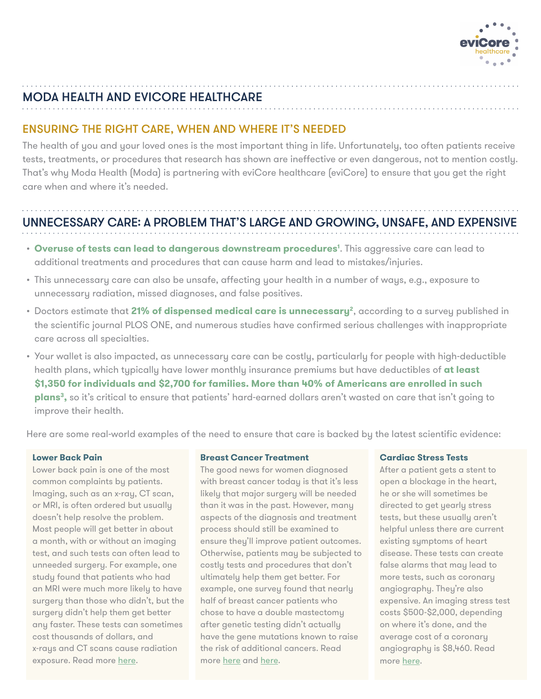

# MODA HEALTH AND EVICORE HEALTHCARE

## ENSURING THE RIGHT CARE, WHEN AND WHERE IT'S NEEDED

The health of you and your loved ones is the most important thing in life. Unfortunately, too often patients receive tests, treatments, or procedures that research has shown are ineffective or even dangerous, not to mention costly. That's why Moda Health (Moda) is partnering with eviCore healthcare (eviCore) to ensure that you get the right care when and where it's needed.

# UNNECESSARY CARE: A PROBLEM THAT'S LARGE AND GROWING, UNSAFE, AND EXPENSIVE

- $\bm{\cdot}$  **Overuse of tests can lead to dangerous downstream procedures<sup>1</sup>. This aggressive care can lead to** additional treatments and procedures that can cause harm and lead to mistakes/injuries.
- This unnecessary care can also be unsafe, affecting your health in a number of ways, e.g., exposure to unnecessary radiation, missed diagnoses, and false positives.
- Doctors estimate that **21% of dispensed medical care is unnecessary2**, according to a survey published in the scientific journal PLOS ONE, and numerous studies have confirmed serious challenges with inappropriate care across all specialties.
- Your wallet is also impacted, as unnecessary care can be costly, particularly for people with high-deductible health plans, which typically have lower monthly insurance premiums but have deductibles of **at least \$1,350 for individuals and \$2,700 for families. More than 40% of Americans are enrolled in such plans3,** so it's critical to ensure that patients' hard-earned dollars aren't wasted on care that isn't going to improve their health.

Here are some real-world examples of the need to ensure that care is backed by the latest scientific evidence:

### **Lower Back Pain**

Lower back pain is one of the most common complaints by patients. Imaging, such as an x-ray, CT scan, or MRI, is often ordered but usually doesn't help resolve the problem. Most people will get better in about a month, with or without an imaging test, and such tests can often lead to unneeded surgery. For example, one study found that patients who had an MRI were much more likely to have surgery than those who didn't, but the surgery didn't help them get better any faster. These tests can sometimes cost thousands of dollars, and x-rays and CT scans cause radiation exposure. Read more [here.](http://www.choosingwisely.org/patient-resources/imaging-tests-for-lower-back-pain/)

### **Breast Cancer Treatment**

The good news for women diagnosed with breast cancer today is that it's less likely that major surgery will be needed than it was in the past. However, many aspects of the diagnosis and treatment process should still be examined to ensure they'll improve patient outcomes. Otherwise, patients may be subjected to costly tests and procedures that don't ultimately help them get better. For example, one survey found that nearly half of breast cancer patients who chose to have a double mastectomy after genetic testing didn't actually have the gene mutations known to raise the risk of additional cancers. Read more [here](http://www.choosingwisely.org/patient-resources/tests-and-treatments-for-women-with-breast-cancer/) and [here.](https://www.everydayhealth.com/breast-cancer/treatment/misunderstood-gene-tests-may-lead-unnecessary-mastectomies/)

### **Cardiac Stress Tests**

After a patient gets a stent to open a blockage in the heart, he or she will sometimes be directed to get yearly stress tests, but these usually aren't helpful unless there are current existing symptoms of heart disease. These tests can create false alarms that may lead to more tests, such as coronary angiography. They're also expensive. An imaging stress test costs \$500-\$2,000, depending on where it's done, and the average cost of a coronary angiography is \$8,460. Read more [here](https://www.everydayhealth.com/breast-cancer/treatment/misunderstood-gene-tests-may-lead-unnecessary-mastectomies/).